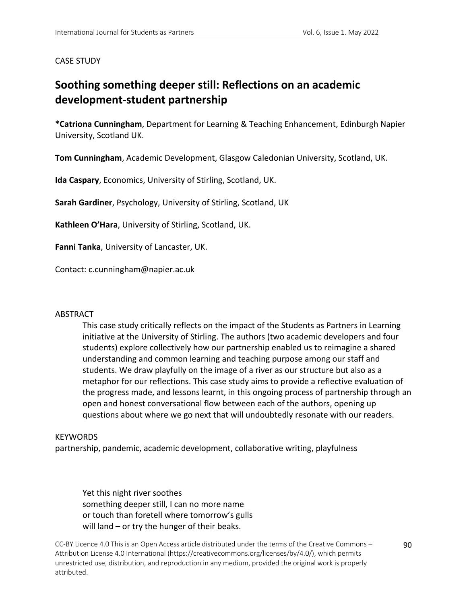### CASE STUDY

# **Soothing something deeper still: Reflections on an academic development-student partnership**

**\*Catriona Cunningham**, Department for Learning & Teaching Enhancement, Edinburgh Napier University, Scotland UK.

**Tom Cunningham**, Academic Development, Glasgow Caledonian University, Scotland, UK.

**Ida Caspary**, Economics, University of Stirling, Scotland, UK.

**Sarah Gardiner**, Psychology, University of Stirling, Scotland, UK

**Kathleen O'Hara**, University of Stirling, Scotland, UK.

**Fanni Tanka**, University of Lancaster, UK.

Contact: c.cunningham@napier.ac.uk

### ABSTRACT

This case study critically reflects on the impact of the Students as Partners in Learning initiative at the University of Stirling. The authors (two academic developers and four students) explore collectively how our partnership enabled us to reimagine a shared understanding and common learning and teaching purpose among our staff and students. We draw playfully on the image of a river as our structure but also as a metaphor for our reflections. This case study aims to provide a reflective evaluation of the progress made, and lessons learnt, in this ongoing process of partnership through an open and honest conversational flow between each of the authors, opening up questions about where we go next that will undoubtedly resonate with our readers.

#### **KEYWORDS**

partnership, pandemic, academic development, collaborative writing, playfulness

Yet this night river soothes something deeper still, I can no more name or touch than foretell where tomorrow's gulls will land – or try the hunger of their beaks.

CC-BY Licence 4.0 This is an Open Access article distributed under the terms of the Creative Commons – Attribution License 4.0 International (https://creativecommons.org/licenses/by/4.0/), which permits unrestricted use, distribution, and reproduction in any medium, provided the original work is properly attributed.

90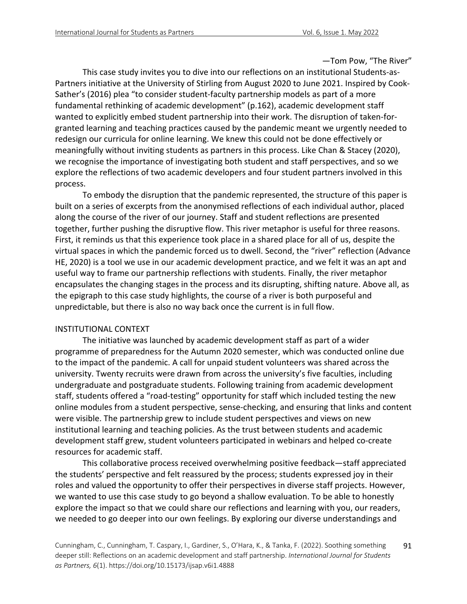—Tom Pow, "The River"

This case study invites you to dive into our reflections on an institutional Students-as-Partners initiative at the University of Stirling from August 2020 to June 2021. Inspired by Cook-Sather's (2016) plea "to consider student-faculty partnership models as part of a more fundamental rethinking of academic development" (p.162), academic development staff wanted to explicitly embed student partnership into their work. The disruption of taken-forgranted learning and teaching practices caused by the pandemic meant we urgently needed to redesign our curricula for online learning. We knew this could not be done effectively or meaningfully without inviting students as partners in this process. Like Chan & Stacey (2020), we recognise the importance of investigating both student and staff perspectives, and so we explore the reflections of two academic developers and four student partners involved in this process.

To embody the disruption that the pandemic represented, the structure of this paper is built on a series of excerpts from the anonymised reflections of each individual author, placed along the course of the river of our journey. Staff and student reflections are presented together, further pushing the disruptive flow. This river metaphor is useful for three reasons. First, it reminds us that this experience took place in a shared place for all of us, despite the virtual spaces in which the pandemic forced us to dwell. Second, the "river" reflection (Advance HE, 2020) is a tool we use in our academic development practice, and we felt it was an apt and useful way to frame our partnership reflections with students. Finally, the river metaphor encapsulates the changing stages in the process and its disrupting, shifting nature. Above all, as the epigraph to this case study highlights, the course of a river is both purposeful and unpredictable, but there is also no way back once the current is in full flow.

### INSTITUTIONAL CONTEXT

The initiative was launched by academic development staff as part of a wider programme of preparedness for the Autumn 2020 semester, which was conducted online due to the impact of the pandemic. A call for unpaid student volunteers was shared across the university. Twenty recruits were drawn from across the university's five faculties, including undergraduate and postgraduate students. Following training from academic development staff, students offered a "road-testing" opportunity for staff which included testing the new online modules from a student perspective, sense-checking, and ensuring that links and content were visible. The partnership grew to include student perspectives and views on new institutional learning and teaching policies. As the trust between students and academic development staff grew, student volunteers participated in webinars and helped co-create resources for academic staff.

This collaborative process received overwhelming positive feedback—staff appreciated the students' perspective and felt reassured by the process; students expressed joy in their roles and valued the opportunity to offer their perspectives in diverse staff projects. However, we wanted to use this case study to go beyond a shallow evaluation. To be able to honestly explore the impact so that we could share our reflections and learning with you, our readers, we needed to go deeper into our own feelings. By exploring our diverse understandings and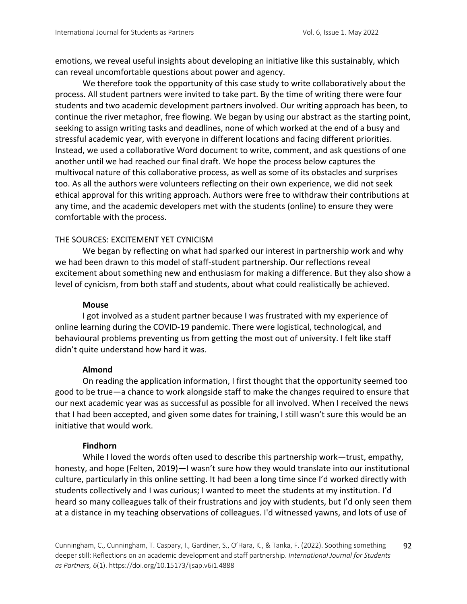emotions, we reveal useful insights about developing an initiative like this sustainably, which can reveal uncomfortable questions about power and agency.

We therefore took the opportunity of this case study to write collaboratively about the process. All student partners were invited to take part. By the time of writing there were four students and two academic development partners involved. Our writing approach has been, to continue the river metaphor, free flowing. We began by using our abstract as the starting point, seeking to assign writing tasks and deadlines, none of which worked at the end of a busy and stressful academic year, with everyone in different locations and facing different priorities. Instead, we used a collaborative Word document to write, comment, and ask questions of one another until we had reached our final draft. We hope the process below captures the multivocal nature of this collaborative process, as well as some of its obstacles and surprises too. As all the authors were volunteers reflecting on their own experience, we did not seek ethical approval for this writing approach. Authors were free to withdraw their contributions at any time, and the academic developers met with the students (online) to ensure they were comfortable with the process.

# THE SOURCES: EXCITEMENT YET CYNICISM

We began by reflecting on what had sparked our interest in partnership work and why we had been drawn to this model of staff-student partnership. Our reflections reveal excitement about something new and enthusiasm for making a difference. But they also show a level of cynicism, from both staff and students, about what could realistically be achieved.

### **Mouse**

I got involved as a student partner because I was frustrated with my experience of online learning during the COVID-19 pandemic. There were logistical, technological, and behavioural problems preventing us from getting the most out of university. I felt like staff didn't quite understand how hard it was.

# **Almond**

On reading the application information, I first thought that the opportunity seemed too good to be true—a chance to work alongside staff to make the changes required to ensure that our next academic year was as successful as possible for all involved. When I received the news that I had been accepted, and given some dates for training, I still wasn't sure this would be an initiative that would work.

# **Findhorn**

While I loved the words often used to describe this partnership work—trust, empathy, honesty, and hope (Felten, 2019)—I wasn't sure how they would translate into our institutional culture, particularly in this online setting. It had been a long time since I'd worked directly with students collectively and I was curious; I wanted to meet the students at my institution. I'd heard so many colleagues talk of their frustrations and joy with students, but I'd only seen them at a distance in my teaching observations of colleagues. I'd witnessed yawns, and lots of use of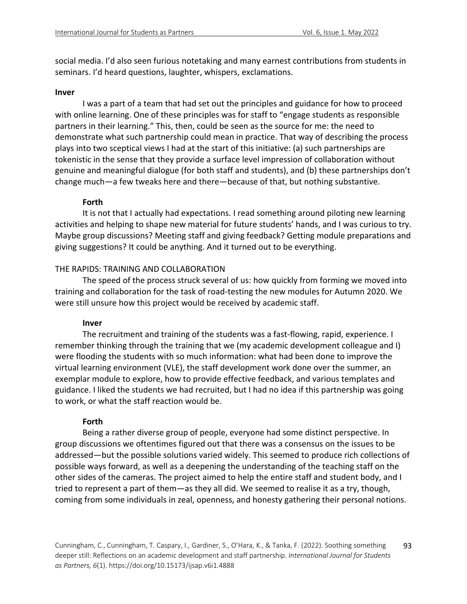social media. I'd also seen furious notetaking and many earnest contributions from students in seminars. I'd heard questions, laughter, whispers, exclamations.

### **Inver**

I was a part of a team that had set out the principles and guidance for how to proceed with online learning. One of these principles was for staff to "engage students as responsible partners in their learning." This, then, could be seen as the source for me: the need to demonstrate what such partnership could mean in practice. That way of describing the process plays into two sceptical views I had at the start of this initiative: (a) such partnerships are tokenistic in the sense that they provide a surface level impression of collaboration without genuine and meaningful dialogue (for both staff and students), and (b) these partnerships don't change much—a few tweaks here and there—because of that, but nothing substantive.

# **Forth**

It is not that I actually had expectations. I read something around piloting new learning activities and helping to shape new material for future students' hands, and I was curious to try. Maybe group discussions? Meeting staff and giving feedback? Getting module preparations and giving suggestions? It could be anything. And it turned out to be everything.

### THE RAPIDS: TRAINING AND COLLABORATION

The speed of the process struck several of us: how quickly from forming we moved into training and collaboration for the task of road-testing the new modules for Autumn 2020. We were still unsure how this project would be received by academic staff.

# **Inver**

The recruitment and training of the students was a fast-flowing, rapid, experience. I remember thinking through the training that we (my academic development colleague and I) were flooding the students with so much information: what had been done to improve the virtual learning environment (VLE), the staff development work done over the summer, an exemplar module to explore, how to provide effective feedback, and various templates and guidance. I liked the students we had recruited, but I had no idea if this partnership was going to work, or what the staff reaction would be.

# **Forth**

Being a rather diverse group of people, everyone had some distinct perspective. In group discussions we oftentimes figured out that there was a consensus on the issues to be addressed—but the possible solutions varied widely. This seemed to produce rich collections of possible ways forward, as well as a deepening the understanding of the teaching staff on the other sides of the cameras. The project aimed to help the entire staff and student body, and I tried to represent a part of them—as they all did. We seemed to realise it as a try, though, coming from some individuals in zeal, openness, and honesty gathering their personal notions.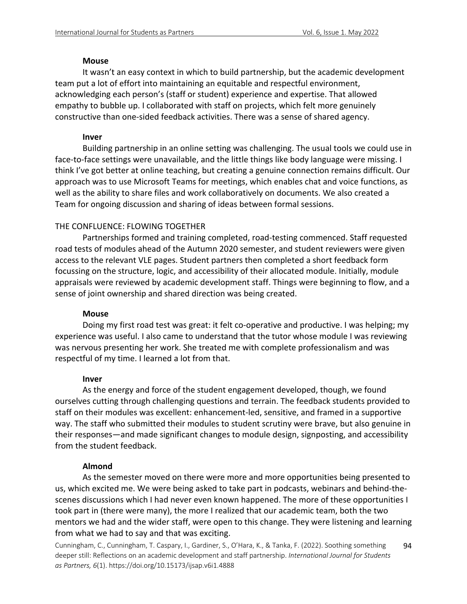### **Mouse**

It wasn't an easy context in which to build partnership, but the academic development team put a lot of effort into maintaining an equitable and respectful environment, acknowledging each person's (staff or student) experience and expertise. That allowed empathy to bubble up. I collaborated with staff on projects, which felt more genuinely constructive than one-sided feedback activities. There was a sense of shared agency.

# **Inver**

Building partnership in an online setting was challenging. The usual tools we could use in face-to-face settings were unavailable, and the little things like body language were missing. I think I've got better at online teaching, but creating a genuine connection remains difficult. Our approach was to use Microsoft Teams for meetings, which enables chat and voice functions, as well as the ability to share files and work collaboratively on documents. We also created a Team for ongoing discussion and sharing of ideas between formal sessions.

# THE CONFLUENCE: FLOWING TOGETHER

Partnerships formed and training completed, road-testing commenced. Staff requested road tests of modules ahead of the Autumn 2020 semester, and student reviewers were given access to the relevant VLE pages. Student partners then completed a short feedback form focussing on the structure, logic, and accessibility of their allocated module. Initially, module appraisals were reviewed by academic development staff. Things were beginning to flow, and a sense of joint ownership and shared direction was being created.

# **Mouse**

Doing my first road test was great: it felt co-operative and productive. I was helping; my experience was useful. I also came to understand that the tutor whose module I was reviewing was nervous presenting her work. She treated me with complete professionalism and was respectful of my time. I learned a lot from that.

# **Inver**

As the energy and force of the student engagement developed, though, we found ourselves cutting through challenging questions and terrain. The feedback students provided to staff on their modules was excellent: enhancement-led, sensitive, and framed in a supportive way. The staff who submitted their modules to student scrutiny were brave, but also genuine in their responses—and made significant changes to module design, signposting, and accessibility from the student feedback.

# **Almond**

As the semester moved on there were more and more opportunities being presented to us, which excited me. We were being asked to take part in podcasts, webinars and behind-thescenes discussions which I had never even known happened. The more of these opportunities I took part in (there were many), the more I realized that our academic team, both the two mentors we had and the wider staff, were open to this change. They were listening and learning from what we had to say and that was exciting.

Cunningham, C., Cunningham, T. Caspary, I., Gardiner, S., O'Hara, K., & Tanka, F. (2022). Soothing something deeper still: Reflections on an academic development and staff partnership. *International Journal for Students as Partners, 6*(1). https://doi.org/10.15173/ijsap.v6i1.4888 94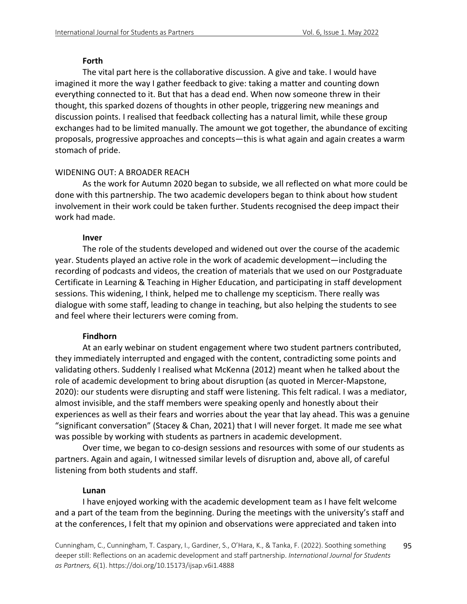### **Forth**

The vital part here is the collaborative discussion. A give and take. I would have imagined it more the way I gather feedback to give: taking a matter and counting down everything connected to it. But that has a dead end. When now someone threw in their thought, this sparked dozens of thoughts in other people, triggering new meanings and discussion points. I realised that feedback collecting has a natural limit, while these group exchanges had to be limited manually. The amount we got together, the abundance of exciting proposals, progressive approaches and concepts—this is what again and again creates a warm stomach of pride.

# WIDENING OUT: A BROADER REACH

As the work for Autumn 2020 began to subside, we all reflected on what more could be done with this partnership. The two academic developers began to think about how student involvement in their work could be taken further. Students recognised the deep impact their work had made.

### **Inver**

The role of the students developed and widened out over the course of the academic year. Students played an active role in the work of academic development—including the recording of podcasts and videos, the creation of materials that we used on our Postgraduate Certificate in Learning & Teaching in Higher Education, and participating in staff development sessions. This widening, I think, helped me to challenge my scepticism. There really was dialogue with some staff, leading to change in teaching, but also helping the students to see and feel where their lecturers were coming from.

# **Findhorn**

At an early webinar on student engagement where two student partners contributed, they immediately interrupted and engaged with the content, contradicting some points and validating others. Suddenly I realised what McKenna (2012) meant when he talked about the role of academic development to bring about disruption (as quoted in Mercer-Mapstone, 2020): our students were disrupting and staff were listening. This felt radical. I was a mediator, almost invisible, and the staff members were speaking openly and honestly about their experiences as well as their fears and worries about the year that lay ahead. This was a genuine "significant conversation" (Stacey & Chan, 2021) that I will never forget. It made me see what was possible by working with students as partners in academic development.

Over time, we began to co-design sessions and resources with some of our students as partners. Again and again, I witnessed similar levels of disruption and, above all, of careful listening from both students and staff.

# **Lunan**

I have enjoyed working with the academic development team as I have felt welcome and a part of the team from the beginning. During the meetings with the university's staff and at the conferences, I felt that my opinion and observations were appreciated and taken into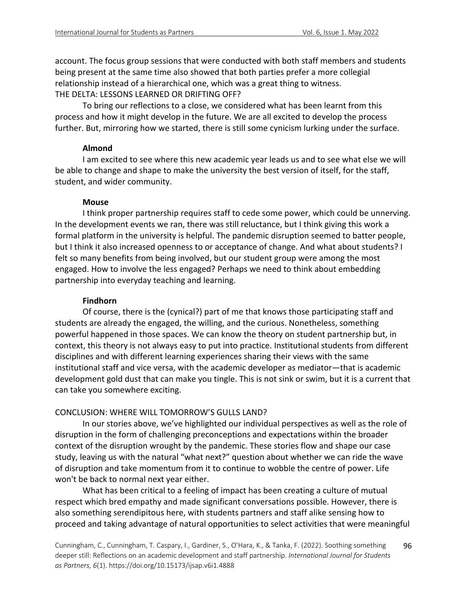account. The focus group sessions that were conducted with both staff members and students being present at the same time also showed that both parties prefer a more collegial relationship instead of a hierarchical one, which was a great thing to witness. THE DELTA: LESSONS LEARNED OR DRIFTING OFF?

To bring our reflections to a close, we considered what has been learnt from this process and how it might develop in the future. We are all excited to develop the process further. But, mirroring how we started, there is still some cynicism lurking under the surface.

### **Almond**

I am excited to see where this new academic year leads us and to see what else we will be able to change and shape to make the university the best version of itself, for the staff, student, and wider community.

# **Mouse**

I think proper partnership requires staff to cede some power, which could be unnerving. In the development events we ran, there was still reluctance, but I think giving this work a formal platform in the university is helpful. The pandemic disruption seemed to batter people, but I think it also increased openness to or acceptance of change. And what about students? I felt so many benefits from being involved, but our student group were among the most engaged. How to involve the less engaged? Perhaps we need to think about embedding partnership into everyday teaching and learning.

# **Findhorn**

Of course, there is the (cynical?) part of me that knows those participating staff and students are already the engaged, the willing, and the curious. Nonetheless, something powerful happened in those spaces. We can know the theory on student partnership but, in context, this theory is not always easy to put into practice. Institutional students from different disciplines and with different learning experiences sharing their views with the same institutional staff and vice versa, with the academic developer as mediator—that is academic development gold dust that can make you tingle. This is not sink or swim, but it is a current that can take you somewhere exciting.

# CONCLUSION: WHERE WILL TOMORROW'S GULLS LAND?

In our stories above, we've highlighted our individual perspectives as well as the role of disruption in the form of challenging preconceptions and expectations within the broader context of the disruption wrought by the pandemic. These stories flow and shape our case study, leaving us with the natural "what next?" question about whether we can ride the wave of disruption and take momentum from it to continue to wobble the centre of power. Life won't be back to normal next year either.

What has been critical to a feeling of impact has been creating a culture of mutual respect which bred empathy and made significant conversations possible. However, there is also something serendipitous here, with students partners and staff alike sensing how to proceed and taking advantage of natural opportunities to select activities that were meaningful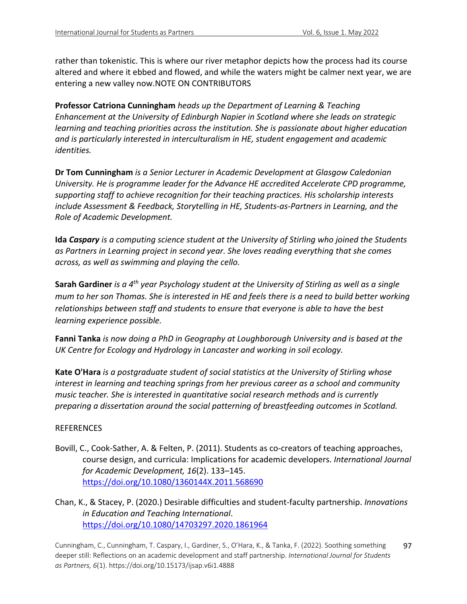rather than tokenistic. This is where our river metaphor depicts how the process had its course altered and where it ebbed and flowed, and while the waters might be calmer next year, we are entering a new valley now.NOTE ON CONTRIBUTORS

**Professor Catriona Cunningham** *heads up the Department of Learning & Teaching Enhancement at the University of Edinburgh Napier in Scotland where she leads on strategic learning and teaching priorities across the institution. She is passionate about higher education and is particularly interested in interculturalism in HE, student engagement and academic identities.*

**Dr Tom Cunningham** *is a Senior Lecturer in Academic Development at Glasgow Caledonian University. He is programme leader for the Advance HE accredited Accelerate CPD programme, supporting staff to achieve recognition for their teaching practices. His scholarship interests include Assessment & Feedback, Storytelling in HE, Students-as-Partners in Learning, and the Role of Academic Development.*

**Ida** *Caspary is a computing science student at the University of Stirling who joined the Students as Partners in Learning project in second year. She loves reading everything that she comes across, as well as swimming and playing the cello.*

**Sarah Gardiner** *is a 4th year Psychology student at the University of Stirling as well as a single mum to her son Thomas. She is interested in HE and feels there is a need to build better working relationships between staff and students to ensure that everyone is able to have the best learning experience possible.*

**Fanni Tanka** *is now doing a PhD in Geography at Loughborough University and is based at the UK Centre for Ecology and Hydrology in Lancaster and working in soil ecology.*

**Kate O'Hara** *is a postgraduate student of social statistics at the University of Stirling whose interest in learning and teaching springs from her previous career as a school and community music teacher. She is interested in quantitative social research methods and is currently preparing a dissertation around the social patterning of breastfeeding outcomes in Scotland.*

# REFERENCES

Bovill, C., Cook-Sather, A. & Felten, P. (2011). Students as co-creators of teaching approaches, course design, and curricula: Implications for academic developers. *International Journal for Academic Development, 16*(2). 133–145. https://doi.org/10.1080/1360144X.2011.568690

Chan, K., & Stacey, P. (2020.) Desirable difficulties and student-faculty partnership. *Innovations in Education and Teaching International*. https://doi.org/10.1080/14703297.2020.1861964

Cunningham, C., Cunningham, T. Caspary, I., Gardiner, S., O'Hara, K., & Tanka, F. (2022). Soothing something deeper still: Reflections on an academic development and staff partnership. *International Journal for Students as Partners, 6*(1). https://doi.org/10.15173/ijsap.v6i1.4888 97